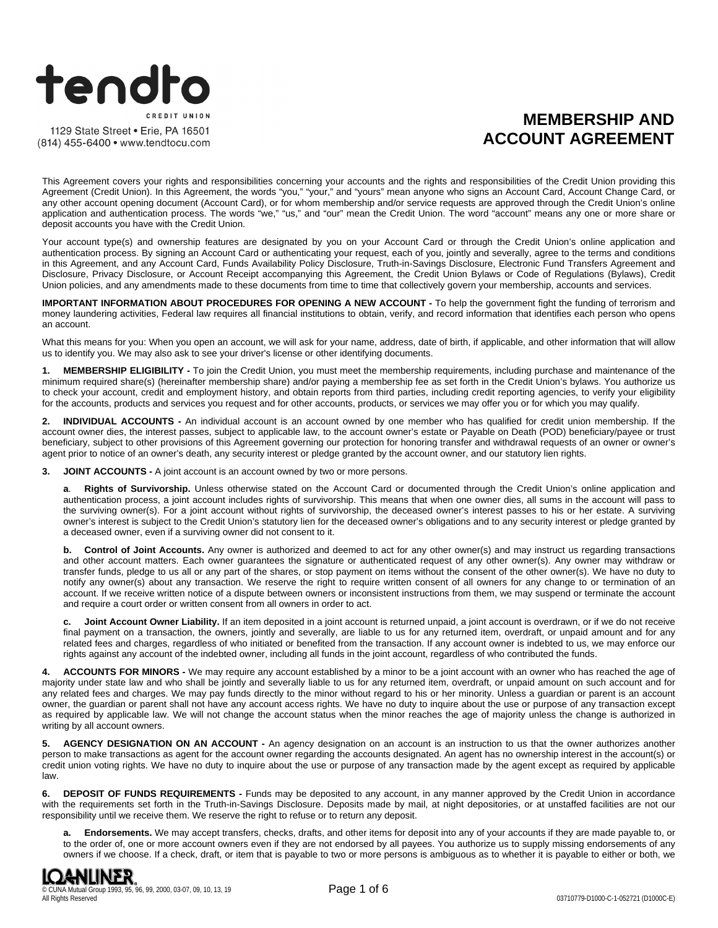

1129 State Street . Erie, PA 16501 (814) 455-6400 · www.tendtocu.com

# **MEMBERSHIP AND ACCOUNT AGREEMENT**

This Agreement covers your rights and responsibilities concerning your accounts and the rights and responsibilities of the Credit Union providing this Agreement (Credit Union). In this Agreement, the words "you," "your," and "yours" mean anyone who signs an Account Card, Account Change Card, or any other account opening document (Account Card), or for whom membership and/or service requests are approved through the Credit Union's online application and authentication process. The words "we," "us," and "our" mean the Credit Union. The word "account" means any one or more share or deposit accounts you have with the Credit Union.

Your account type(s) and ownership features are designated by you on your Account Card or through the Credit Union's online application and authentication process. By signing an Account Card or authenticating your request, each of you, jointly and severally, agree to the terms and conditions in this Agreement, and any Account Card, Funds Availability Policy Disclosure, Truth-in-Savings Disclosure, Electronic Fund Transfers Agreement and Disclosure, Privacy Disclosure, or Account Receipt accompanying this Agreement, the Credit Union Bylaws or Code of Regulations (Bylaws), Credit Union policies, and any amendments made to these documents from time to time that collectively govern your membership, accounts and services.

**IMPORTANT INFORMATION ABOUT PROCEDURES FOR OPENING A NEW ACCOUNT -** To help the government fight the funding of terrorism and money laundering activities, Federal law requires all financial institutions to obtain, verify, and record information that identifies each person who opens an account.

What this means for you: When you open an account, we will ask for your name, address, date of birth, if applicable, and other information that will allow us to identify you. We may also ask to see your driver's license or other identifying documents.

**1. MEMBERSHIP ELIGIBILITY -** To join the Credit Union, you must meet the membership requirements, including purchase and maintenance of the minimum required share(s) (hereinafter membership share) and/or paying a membership fee as set forth in the Credit Union's bylaws. You authorize us to check your account, credit and employment history, and obtain reports from third parties, including credit reporting agencies, to verify your eligibility for the accounts, products and services you request and for other accounts, products, or services we may offer you or for which you may qualify.

**2. INDIVIDUAL ACCOUNTS -** An individual account is an account owned by one member who has qualified for credit union membership. If the account owner dies, the interest passes, subject to applicable law, to the account owner's estate or Payable on Death (POD) beneficiary/payee or trust beneficiary, subject to other provisions of this Agreement governing our protection for honoring transfer and withdrawal requests of an owner or owner's agent prior to notice of an owner's death, any security interest or pledge granted by the account owner, and our statutory lien rights.

**3. JOINT ACCOUNTS -** A joint account is an account owned by two or more persons.

**a**. **Rights of Survivorship.** Unless otherwise stated on the Account Card or documented through the Credit Union's online application and authentication process, a joint account includes rights of survivorship. This means that when one owner dies, all sums in the account will pass to the surviving owner(s). For a joint account without rights of survivorship, the deceased owner's interest passes to his or her estate. A surviving owner's interest is subject to the Credit Union's statutory lien for the deceased owner's obligations and to any security interest or pledge granted by a deceased owner, even if a surviving owner did not consent to it.

**b.** Control of Joint Accounts. Any owner is authorized and deemed to act for any other owner(s) and may instruct us regarding transactions and other account matters. Each owner guarantees the signature or authenticated request of any other owner(s). Any owner may withdraw or transfer funds, pledge to us all or any part of the shares, or stop payment on items without the consent of the other owner(s). We have no duty to notify any owner(s) about any transaction. We reserve the right to require written consent of all owners for any change to or termination of an account. If we receive written notice of a dispute between owners or inconsistent instructions from them, we may suspend or terminate the account and require a court order or written consent from all owners in order to act.

**c. Joint Account Owner Liability.** If an item deposited in a joint account is returned unpaid, a joint account is overdrawn, or if we do not receive final payment on a transaction, the owners, jointly and severally, are liable to us for any returned item, overdraft, or unpaid amount and for any related fees and charges, regardless of who initiated or benefited from the transaction. If any account owner is indebted to us, we may enforce our rights against any account of the indebted owner, including all funds in the joint account, regardless of who contributed the funds.

**4. ACCOUNTS FOR MINORS -** We may require any account established by a minor to be a joint account with an owner who has reached the age of majority under state law and who shall be jointly and severally liable to us for any returned item, overdraft, or unpaid amount on such account and for any related fees and charges. We may pay funds directly to the minor without regard to his or her minority. Unless a guardian or parent is an account owner, the guardian or parent shall not have any account access rights. We have no duty to inquire about the use or purpose of any transaction except as required by applicable law. We will not change the account status when the minor reaches the age of majority unless the change is authorized in writing by all account owners.

**5. AGENCY DESIGNATION ON AN ACCOUNT -** An agency designation on an account is an instruction to us that the owner authorizes another person to make transactions as agent for the account owner regarding the accounts designated. An agent has no ownership interest in the account(s) or credit union voting rights. We have no duty to inquire about the use or purpose of any transaction made by the agent except as required by applicable law.

**6. DEPOSIT OF FUNDS REQUIREMENTS -** Funds may be deposited to any account, in any manner approved by the Credit Union in accordance with the requirements set forth in the Truth-in-Savings Disclosure. Deposits made by mail, at night depositories, or at unstaffed facilities are not our responsibility until we receive them. We reserve the right to refuse or to return any deposit.

**a. Endorsements.** We may accept transfers, checks, drafts, and other items for deposit into any of your accounts if they are made payable to, or to the order of, one or more account owners even if they are not endorsed by all payees. You authorize us to supply missing endorsements of any owners if we choose. If a check, draft, or item that is payable to two or more persons is ambiguous as to whether it is payable to either or both, we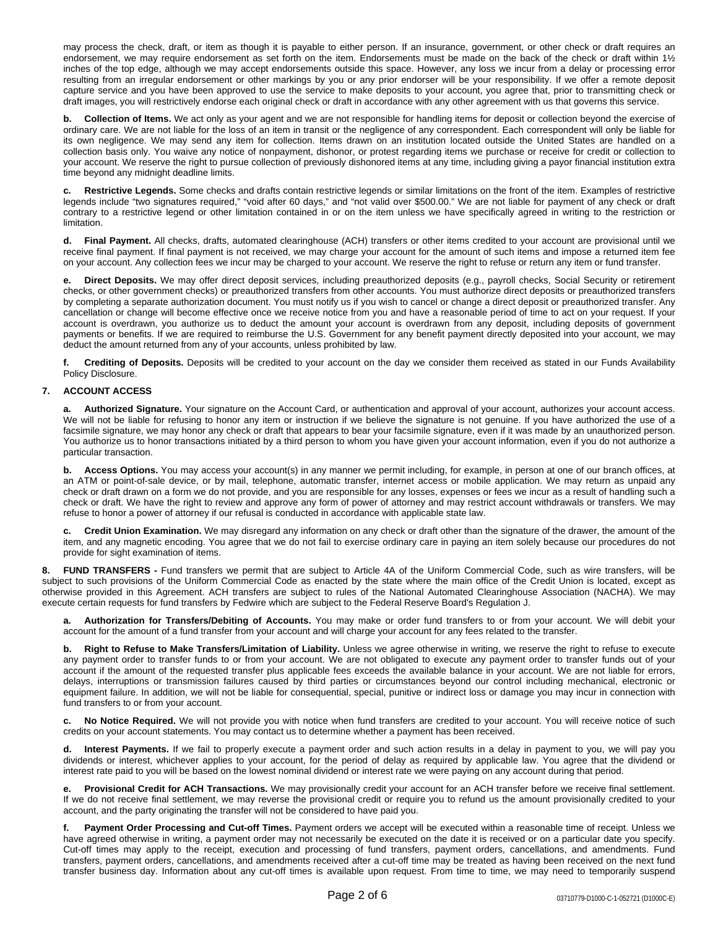may process the check, draft, or item as though it is payable to either person. If an insurance, government, or other check or draft requires an endorsement, we may require endorsement as set forth on the item. Endorsements must be made on the back of the check or draft within 1½ inches of the top edge, although we may accept endorsements outside this space. However, any loss we incur from a delay or processing error resulting from an irregular endorsement or other markings by you or any prior endorser will be your responsibility. If we offer a remote deposit capture service and you have been approved to use the service to make deposits to your account, you agree that, prior to transmitting check or draft images, you will restrictively endorse each original check or draft in accordance with any other agreement with us that governs this service.

**b. Collection of Items.** We act only as your agent and we are not responsible for handling items for deposit or collection beyond the exercise of ordinary care. We are not liable for the loss of an item in transit or the negligence of any correspondent. Each correspondent will only be liable for its own negligence. We may send any item for collection. Items drawn on an institution located outside the United States are handled on a collection basis only. You waive any notice of nonpayment, dishonor, or protest regarding items we purchase or receive for credit or collection to your account. We reserve the right to pursue collection of previously dishonored items at any time, including giving a payor financial institution extra time beyond any midnight deadline limits.

**c. Restrictive Legends.** Some checks and drafts contain restrictive legends or similar limitations on the front of the item. Examples of restrictive legends include "two signatures required," "void after 60 days," and "not valid over \$500.00." We are not liable for payment of any check or draft contrary to a restrictive legend or other limitation contained in or on the item unless we have specifically agreed in writing to the restriction or limitation.

**d. Final Payment.** All checks, drafts, automated clearinghouse (ACH) transfers or other items credited to your account are provisional until we receive final payment. If final payment is not received, we may charge your account for the amount of such items and impose a returned item fee on your account. Any collection fees we incur may be charged to your account. We reserve the right to refuse or return any item or fund transfer.

**e. Direct Deposits.** We may offer direct deposit services, including preauthorized deposits (e.g., payroll checks, Social Security or retirement checks, or other government checks) or preauthorized transfers from other accounts. You must authorize direct deposits or preauthorized transfers by completing a separate authorization document. You must notify us if you wish to cancel or change a direct deposit or preauthorized transfer. Any cancellation or change will become effective once we receive notice from you and have a reasonable period of time to act on your request. If your account is overdrawn, you authorize us to deduct the amount your account is overdrawn from any deposit, including deposits of government payments or benefits. If we are required to reimburse the U.S. Government for any benefit payment directly deposited into your account, we may deduct the amount returned from any of your accounts, unless prohibited by law.

**f. Crediting of Deposits.** Deposits will be credited to your account on the day we consider them received as stated in our Funds Availability Policy Disclosure.

## **7. ACCOUNT ACCESS**

**a. Authorized Signature.** Your signature on the Account Card, or authentication and approval of your account, authorizes your account access. We will not be liable for refusing to honor any item or instruction if we believe the signature is not genuine. If you have authorized the use of a facsimile signature, we may honor any check or draft that appears to bear your facsimile signature, even if it was made by an unauthorized person. You authorize us to honor transactions initiated by a third person to whom you have given your account information, even if you do not authorize a particular transaction.

**b. Access Options.** You may access your account(s) in any manner we permit including, for example, in person at one of our branch offices, at an ATM or point-of-sale device, or by mail, telephone, automatic transfer, internet access or mobile application. We may return as unpaid any check or draft drawn on a form we do not provide, and you are responsible for any losses, expenses or fees we incur as a result of handling such a check or draft. We have the right to review and approve any form of power of attorney and may restrict account withdrawals or transfers. We may refuse to honor a power of attorney if our refusal is conducted in accordance with applicable state law.

**c. Credit Union Examination.** We may disregard any information on any check or draft other than the signature of the drawer, the amount of the item, and any magnetic encoding. You agree that we do not fail to exercise ordinary care in paying an item solely because our procedures do not provide for sight examination of items.

**8. FUND TRANSFERS -** Fund transfers we permit that are subject to Article 4A of the Uniform Commercial Code, such as wire transfers, will be subject to such provisions of the Uniform Commercial Code as enacted by the state where the main office of the Credit Union is located, except as otherwise provided in this Agreement. ACH transfers are subject to rules of the National Automated Clearinghouse Association (NACHA). We may execute certain requests for fund transfers by Fedwire which are subject to the Federal Reserve Board's Regulation J.

**a. Authorization for Transfers/Debiting of Accounts.** You may make or order fund transfers to or from your account. We will debit your account for the amount of a fund transfer from your account and will charge your account for any fees related to the transfer.

**b. Right to Refuse to Make Transfers/Limitation of Liability.** Unless we agree otherwise in writing, we reserve the right to refuse to execute any payment order to transfer funds to or from your account. We are not obligated to execute any payment order to transfer funds out of your account if the amount of the requested transfer plus applicable fees exceeds the available balance in your account. We are not liable for errors, delays, interruptions or transmission failures caused by third parties or circumstances beyond our control including mechanical, electronic or equipment failure. In addition, we will not be liable for consequential, special, punitive or indirect loss or damage you may incur in connection with fund transfers to or from your account.

**c. No Notice Required.** We will not provide you with notice when fund transfers are credited to your account. You will receive notice of such credits on your account statements. You may contact us to determine whether a payment has been received.

**d. Interest Payments.** If we fail to properly execute a payment order and such action results in a delay in payment to you, we will pay you dividends or interest, whichever applies to your account, for the period of delay as required by applicable law. You agree that the dividend or interest rate paid to you will be based on the lowest nominal dividend or interest rate we were paying on any account during that period.

**e. Provisional Credit for ACH Transactions.** We may provisionally credit your account for an ACH transfer before we receive final settlement. If we do not receive final settlement, we may reverse the provisional credit or require you to refund us the amount provisionally credited to your account, and the party originating the transfer will not be considered to have paid you.

**f. Payment Order Processing and Cut-off Times.** Payment orders we accept will be executed within a reasonable time of receipt. Unless we have agreed otherwise in writing, a payment order may not necessarily be executed on the date it is received or on a particular date you specify. Cut-off times may apply to the receipt, execution and processing of fund transfers, payment orders, cancellations, and amendments. Fund transfers, payment orders, cancellations, and amendments received after a cut-off time may be treated as having been received on the next fund transfer business day. Information about any cut-off times is available upon request. From time to time, we may need to temporarily suspend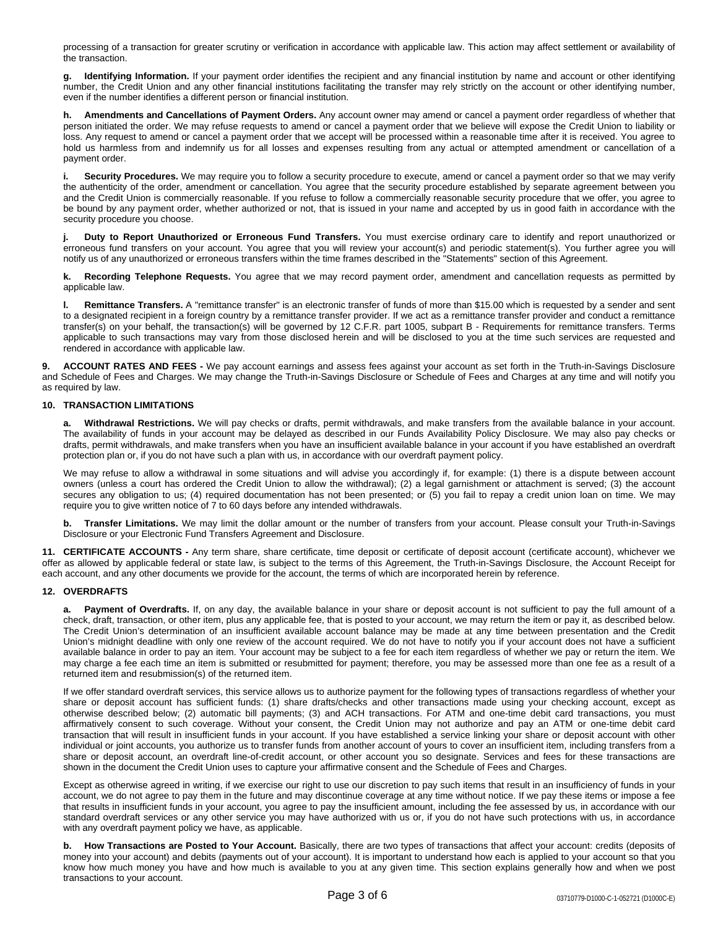processing of a transaction for greater scrutiny or verification in accordance with applicable law. This action may affect settlement or availability of the transaction.

**g. Identifying Information.** If your payment order identifies the recipient and any financial institution by name and account or other identifying number, the Credit Union and any other financial institutions facilitating the transfer may rely strictly on the account or other identifying number, even if the number identifies a different person or financial institution.

**h. Amendments and Cancellations of Payment Orders.** Any account owner may amend or cancel a payment order regardless of whether that person initiated the order. We may refuse requests to amend or cancel a payment order that we believe will expose the Credit Union to liability or loss. Any request to amend or cancel a payment order that we accept will be processed within a reasonable time after it is received. You agree to hold us harmless from and indemnify us for all losses and expenses resulting from any actual or attempted amendment or cancellation of a payment order.

**i. Security Procedures.** We may require you to follow a security procedure to execute, amend or cancel a payment order so that we may verify the authenticity of the order, amendment or cancellation. You agree that the security procedure established by separate agreement between you and the Credit Union is commercially reasonable. If you refuse to follow a commercially reasonable security procedure that we offer, you agree to be bound by any payment order, whether authorized or not, that is issued in your name and accepted by us in good faith in accordance with the security procedure you choose.

**j. Duty to Report Unauthorized or Erroneous Fund Transfers.** You must exercise ordinary care to identify and report unauthorized or erroneous fund transfers on your account. You agree that you will review your account(s) and periodic statement(s). You further agree you will notify us of any unauthorized or erroneous transfers within the time frames described in the "Statements" section of this Agreement.

**k. Recording Telephone Requests.** You agree that we may record payment order, amendment and cancellation requests as permitted by applicable law.

**l. Remittance Transfers.** A "remittance transfer" is an electronic transfer of funds of more than \$15.00 which is requested by a sender and sent to a designated recipient in a foreign country by a remittance transfer provider. If we act as a remittance transfer provider and conduct a remittance transfer(s) on your behalf, the transaction(s) will be governed by 12 C.F.R. part 1005, subpart B - Requirements for remittance transfers. Terms applicable to such transactions may vary from those disclosed herein and will be disclosed to you at the time such services are requested and rendered in accordance with applicable law.

**9. ACCOUNT RATES AND FEES -** We pay account earnings and assess fees against your account as set forth in the Truth-in-Savings Disclosure and Schedule of Fees and Charges. We may change the Truth-in-Savings Disclosure or Schedule of Fees and Charges at any time and will notify you as required by law.

## **10. TRANSACTION LIMITATIONS**

**a. Withdrawal Restrictions.** We will pay checks or drafts, permit withdrawals, and make transfers from the available balance in your account. The availability of funds in your account may be delayed as described in our Funds Availability Policy Disclosure. We may also pay checks or drafts, permit withdrawals, and make transfers when you have an insufficient available balance in your account if you have established an overdraft protection plan or, if you do not have such a plan with us, in accordance with our overdraft payment policy.

We may refuse to allow a withdrawal in some situations and will advise you accordingly if, for example: (1) there is a dispute between account owners (unless a court has ordered the Credit Union to allow the withdrawal); (2) a legal garnishment or attachment is served; (3) the account secures any obligation to us; (4) required documentation has not been presented; or (5) you fail to repay a credit union loan on time. We may require you to give written notice of 7 to 60 days before any intended withdrawals.

**b. Transfer Limitations.** We may limit the dollar amount or the number of transfers from your account. Please consult your Truth-in-Savings Disclosure or your Electronic Fund Transfers Agreement and Disclosure.

**11. CERTIFICATE ACCOUNTS -** Any term share, share certificate, time deposit or certificate of deposit account (certificate account), whichever we offer as allowed by applicable federal or state law, is subject to the terms of this Agreement, the Truth-in-Savings Disclosure, the Account Receipt for each account, and any other documents we provide for the account, the terms of which are incorporated herein by reference.

#### **12. OVERDRAFTS**

**a. Payment of Overdrafts.** If, on any day, the available balance in your share or deposit account is not sufficient to pay the full amount of a check, draft, transaction, or other item, plus any applicable fee, that is posted to your account, we may return the item or pay it, as described below. The Credit Union's determination of an insufficient available account balance may be made at any time between presentation and the Credit Union's midnight deadline with only one review of the account required. We do not have to notify you if your account does not have a sufficient available balance in order to pay an item. Your account may be subject to a fee for each item regardless of whether we pay or return the item. We may charge a fee each time an item is submitted or resubmitted for payment; therefore, you may be assessed more than one fee as a result of a returned item and resubmission(s) of the returned item.

If we offer standard overdraft services, this service allows us to authorize payment for the following types of transactions regardless of whether your share or deposit account has sufficient funds: (1) share drafts/checks and other transactions made using your checking account, except as otherwise described below; (2) automatic bill payments; (3) and ACH transactions. For ATM and one-time debit card transactions, you must affirmatively consent to such coverage. Without your consent, the Credit Union may not authorize and pay an ATM or one-time debit card transaction that will result in insufficient funds in your account. If you have established a service linking your share or deposit account with other individual or joint accounts, you authorize us to transfer funds from another account of yours to cover an insufficient item, including transfers from a share or deposit account, an overdraft line-of-credit account, or other account you so designate. Services and fees for these transactions are shown in the document the Credit Union uses to capture your affirmative consent and the Schedule of Fees and Charges.

Except as otherwise agreed in writing, if we exercise our right to use our discretion to pay such items that result in an insufficiency of funds in your account, we do not agree to pay them in the future and may discontinue coverage at any time without notice. If we pay these items or impose a fee that results in insufficient funds in your account, you agree to pay the insufficient amount, including the fee assessed by us, in accordance with our standard overdraft services or any other service you may have authorized with us or, if you do not have such protections with us, in accordance with any overdraft payment policy we have, as applicable.

**b. How Transactions are Posted to Your Account.** Basically, there are two types of transactions that affect your account: credits (deposits of money into your account) and debits (payments out of your account). It is important to understand how each is applied to your account so that you know how much money you have and how much is available to you at any given time. This section explains generally how and when we post transactions to your account.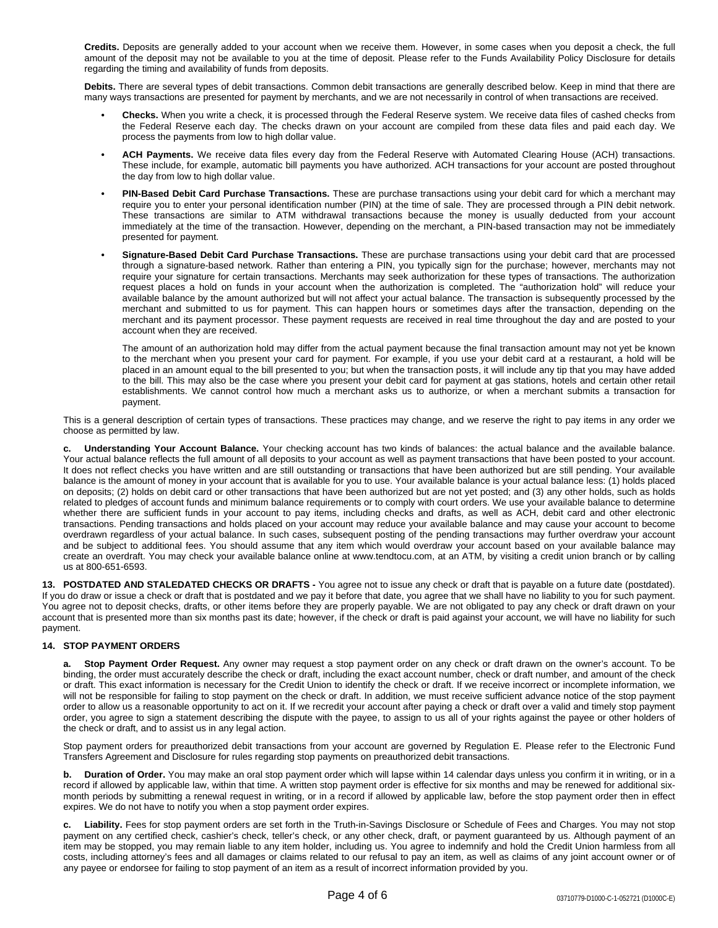**Credits.** Deposits are generally added to your account when we receive them. However, in some cases when you deposit a check, the full amount of the deposit may not be available to you at the time of deposit. Please refer to the Funds Availability Policy Disclosure for details regarding the timing and availability of funds from deposits.

**Debits.** There are several types of debit transactions. Common debit transactions are generally described below. Keep in mind that there are many ways transactions are presented for payment by merchants, and we are not necessarily in control of when transactions are received.

- **• Checks.** When you write a check, it is processed through the Federal Reserve system. We receive data files of cashed checks from the Federal Reserve each day. The checks drawn on your account are compiled from these data files and paid each day. We process the payments from low to high dollar value.
- **• ACH Payments.** We receive data files every day from the Federal Reserve with Automated Clearing House (ACH) transactions. These include, for example, automatic bill payments you have authorized. ACH transactions for your account are posted throughout the day from low to high dollar value.
- **• PIN-Based Debit Card Purchase Transactions.** These are purchase transactions using your debit card for which a merchant may require you to enter your personal identification number (PIN) at the time of sale. They are processed through a PIN debit network. These transactions are similar to ATM withdrawal transactions because the money is usually deducted from your account immediately at the time of the transaction. However, depending on the merchant, a PIN-based transaction may not be immediately presented for payment.
- **• Signature-Based Debit Card Purchase Transactions.** These are purchase transactions using your debit card that are processed through a signature-based network. Rather than entering a PIN, you typically sign for the purchase; however, merchants may not require your signature for certain transactions. Merchants may seek authorization for these types of transactions. The authorization request places a hold on funds in your account when the authorization is completed. The "authorization hold" will reduce your available balance by the amount authorized but will not affect your actual balance. The transaction is subsequently processed by the merchant and submitted to us for payment. This can happen hours or sometimes days after the transaction, depending on the merchant and its payment processor. These payment requests are received in real time throughout the day and are posted to your account when they are received.

The amount of an authorization hold may differ from the actual payment because the final transaction amount may not yet be known to the merchant when you present your card for payment. For example, if you use your debit card at a restaurant, a hold will be placed in an amount equal to the bill presented to you; but when the transaction posts, it will include any tip that you may have added to the bill. This may also be the case where you present your debit card for payment at gas stations, hotels and certain other retail establishments. We cannot control how much a merchant asks us to authorize, or when a merchant submits a transaction for payment.

This is a general description of certain types of transactions. These practices may change, and we reserve the right to pay items in any order we choose as permitted by law.

**c. Understanding Your Account Balance.** Your checking account has two kinds of balances: the actual balance and the available balance. Your actual balance reflects the full amount of all deposits to your account as well as payment transactions that have been posted to your account. It does not reflect checks you have written and are still outstanding or transactions that have been authorized but are still pending. Your available balance is the amount of money in your account that is available for you to use. Your available balance is your actual balance less: (1) holds placed on deposits; (2) holds on debit card or other transactions that have been authorized but are not yet posted; and (3) any other holds, such as holds related to pledges of account funds and minimum balance requirements or to comply with court orders. We use your available balance to determine whether there are sufficient funds in your account to pay items, including checks and drafts, as well as ACH, debit card and other electronic transactions. Pending transactions and holds placed on your account may reduce your available balance and may cause your account to become overdrawn regardless of your actual balance. In such cases, subsequent posting of the pending transactions may further overdraw your account and be subject to additional fees. You should assume that any item which would overdraw your account based on your available balance may create an overdraft. You may check your available balance online at www.tendtocu.com, at an ATM, by visiting a credit union branch or by calling us at 800-651-6593.

**13. POSTDATED AND STALEDATED CHECKS OR DRAFTS -** You agree not to issue any check or draft that is payable on a future date (postdated). If you do draw or issue a check or draft that is postdated and we pay it before that date, you agree that we shall have no liability to you for such payment. You agree not to deposit checks, drafts, or other items before they are properly payable. We are not obligated to pay any check or draft drawn on your account that is presented more than six months past its date; however, if the check or draft is paid against your account, we will have no liability for such payment.

#### **14. STOP PAYMENT ORDERS**

**a. Stop Payment Order Request.** Any owner may request a stop payment order on any check or draft drawn on the owner's account. To be binding, the order must accurately describe the check or draft, including the exact account number, check or draft number, and amount of the check or draft. This exact information is necessary for the Credit Union to identify the check or draft. If we receive incorrect or incomplete information, we will not be responsible for failing to stop payment on the check or draft. In addition, we must receive sufficient advance notice of the stop payment order to allow us a reasonable opportunity to act on it. If we recredit your account after paying a check or draft over a valid and timely stop payment order, you agree to sign a statement describing the dispute with the payee, to assign to us all of your rights against the payee or other holders of the check or draft, and to assist us in any legal action.

Stop payment orders for preauthorized debit transactions from your account are governed by Regulation E. Please refer to the Electronic Fund Transfers Agreement and Disclosure for rules regarding stop payments on preauthorized debit transactions.

**b. Duration of Order.** You may make an oral stop payment order which will lapse within 14 calendar days unless you confirm it in writing, or in a record if allowed by applicable law, within that time. A written stop payment order is effective for six months and may be renewed for additional sixmonth periods by submitting a renewal request in writing, or in a record if allowed by applicable law, before the stop payment order then in effect expires. We do not have to notify you when a stop payment order expires.

**c. Liability.** Fees for stop payment orders are set forth in the Truth-in-Savings Disclosure or Schedule of Fees and Charges. You may not stop payment on any certified check, cashier's check, teller's check, or any other check, draft, or payment guaranteed by us. Although payment of an item may be stopped, you may remain liable to any item holder, including us. You agree to indemnify and hold the Credit Union harmless from all costs, including attorney's fees and all damages or claims related to our refusal to pay an item, as well as claims of any joint account owner or of any payee or endorsee for failing to stop payment of an item as a result of incorrect information provided by you.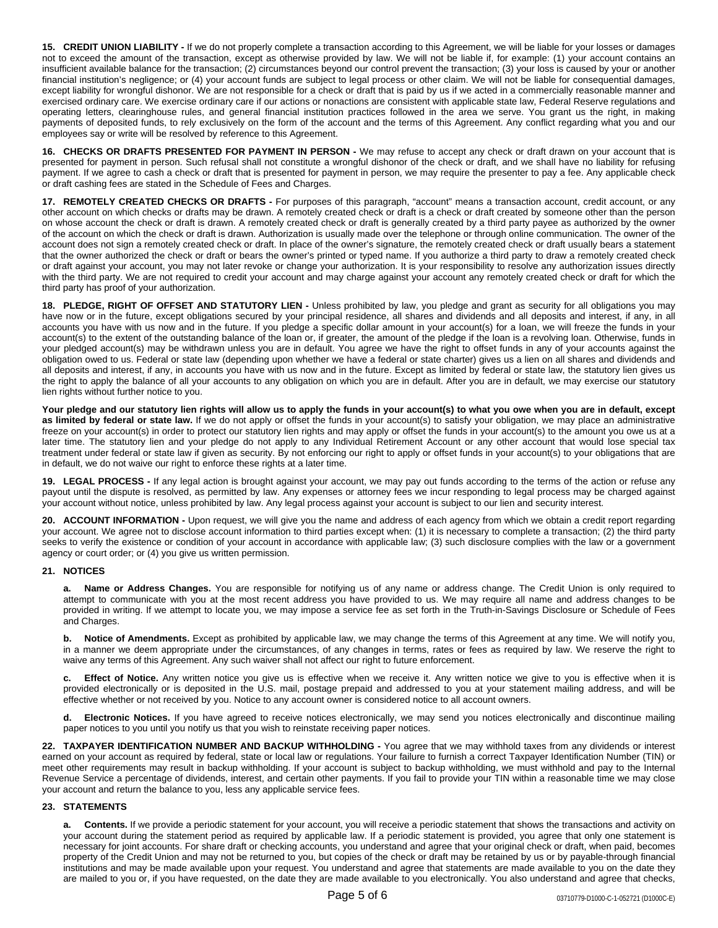**15. CREDIT UNION LIABILITY -** If we do not properly complete a transaction according to this Agreement, we will be liable for your losses or damages not to exceed the amount of the transaction, except as otherwise provided by law. We will not be liable if, for example: (1) your account contains an insufficient available balance for the transaction; (2) circumstances beyond our control prevent the transaction; (3) your loss is caused by your or another financial institution's negligence; or (4) your account funds are subject to legal process or other claim. We will not be liable for consequential damages, except liability for wrongful dishonor. We are not responsible for a check or draft that is paid by us if we acted in a commercially reasonable manner and exercised ordinary care. We exercise ordinary care if our actions or nonactions are consistent with applicable state law, Federal Reserve regulations and operating letters, clearinghouse rules, and general financial institution practices followed in the area we serve. You grant us the right, in making payments of deposited funds, to rely exclusively on the form of the account and the terms of this Agreement. Any conflict regarding what you and our employees say or write will be resolved by reference to this Agreement.

**16. CHECKS OR DRAFTS PRESENTED FOR PAYMENT IN PERSON -** We may refuse to accept any check or draft drawn on your account that is presented for payment in person. Such refusal shall not constitute a wrongful dishonor of the check or draft, and we shall have no liability for refusing payment. If we agree to cash a check or draft that is presented for payment in person, we may require the presenter to pay a fee. Any applicable check or draft cashing fees are stated in the Schedule of Fees and Charges.

**17. REMOTELY CREATED CHECKS OR DRAFTS -** For purposes of this paragraph, "account" means a transaction account, credit account, or any other account on which checks or drafts may be drawn. A remotely created check or draft is a check or draft created by someone other than the person on whose account the check or draft is drawn. A remotely created check or draft is generally created by a third party payee as authorized by the owner of the account on which the check or draft is drawn. Authorization is usually made over the telephone or through online communication. The owner of the account does not sign a remotely created check or draft. In place of the owner's signature, the remotely created check or draft usually bears a statement that the owner authorized the check or draft or bears the owner's printed or typed name. If you authorize a third party to draw a remotely created check or draft against your account, you may not later revoke or change your authorization. It is your responsibility to resolve any authorization issues directly with the third party. We are not required to credit your account and may charge against your account any remotely created check or draft for which the third party has proof of your authorization.

**18. PLEDGE, RIGHT OF OFFSET AND STATUTORY LIEN -** Unless prohibited by law, you pledge and grant as security for all obligations you may have now or in the future, except obligations secured by your principal residence, all shares and dividends and all deposits and interest, if any, in all accounts you have with us now and in the future. If you pledge a specific dollar amount in your account(s) for a loan, we will freeze the funds in your account(s) to the extent of the outstanding balance of the loan or, if greater, the amount of the pledge if the loan is a revolving loan. Otherwise, funds in your pledged account(s) may be withdrawn unless you are in default. You agree we have the right to offset funds in any of your accounts against the obligation owed to us. Federal or state law (depending upon whether we have a federal or state charter) gives us a lien on all shares and dividends and all deposits and interest, if any, in accounts you have with us now and in the future. Except as limited by federal or state law, the statutory lien gives us the right to apply the balance of all your accounts to any obligation on which you are in default. After you are in default, we may exercise our statutory lien rights without further notice to you.

Your pledge and our statutory lien rights will allow us to apply the funds in your account(s) to what you owe when you are in default, except **as limited by federal or state law.** If we do not apply or offset the funds in your account(s) to satisfy your obligation, we may place an administrative freeze on your account(s) in order to protect our statutory lien rights and may apply or offset the funds in your account(s) to the amount you owe us at a later time. The statutory lien and your pledge do not apply to any Individual Retirement Account or any other account that would lose special tax treatment under federal or state law if given as security. By not enforcing our right to apply or offset funds in your account(s) to your obligations that are in default, we do not waive our right to enforce these rights at a later time.

**19. LEGAL PROCESS -** If any legal action is brought against your account, we may pay out funds according to the terms of the action or refuse any payout until the dispute is resolved, as permitted by law. Any expenses or attorney fees we incur responding to legal process may be charged against your account without notice, unless prohibited by law. Any legal process against your account is subject to our lien and security interest.

**20. ACCOUNT INFORMATION -** Upon request, we will give you the name and address of each agency from which we obtain a credit report regarding your account. We agree not to disclose account information to third parties except when: (1) it is necessary to complete a transaction; (2) the third party seeks to verify the existence or condition of your account in accordance with applicable law; (3) such disclosure complies with the law or a government agency or court order; or (4) you give us written permission.

# **21. NOTICES**

**a. Name or Address Changes.** You are responsible for notifying us of any name or address change. The Credit Union is only required to attempt to communicate with you at the most recent address you have provided to us. We may require all name and address changes to be provided in writing. If we attempt to locate you, we may impose a service fee as set forth in the Truth-in-Savings Disclosure or Schedule of Fees and Charges.

**b. Notice of Amendments.** Except as prohibited by applicable law, we may change the terms of this Agreement at any time. We will notify you, in a manner we deem appropriate under the circumstances, of any changes in terms, rates or fees as required by law. We reserve the right to waive any terms of this Agreement. Any such waiver shall not affect our right to future enforcement.

**c. Effect of Notice.** Any written notice you give us is effective when we receive it. Any written notice we give to you is effective when it is provided electronically or is deposited in the U.S. mail, postage prepaid and addressed to you at your statement mailing address, and will be effective whether or not received by you. Notice to any account owner is considered notice to all account owners.

**d. Electronic Notices.** If you have agreed to receive notices electronically, we may send you notices electronically and discontinue mailing paper notices to you until you notify us that you wish to reinstate receiving paper notices.

**22. TAXPAYER IDENTIFICATION NUMBER AND BACKUP WITHHOLDING -** You agree that we may withhold taxes from any dividends or interest earned on your account as required by federal, state or local law or regulations. Your failure to furnish a correct Taxpayer Identification Number (TIN) or meet other requirements may result in backup withholding. If your account is subject to backup withholding, we must withhold and pay to the Internal Revenue Service a percentage of dividends, interest, and certain other payments. If you fail to provide your TIN within a reasonable time we may close your account and return the balance to you, less any applicable service fees.

#### **23. STATEMENTS**

**a. Contents.** If we provide a periodic statement for your account, you will receive a periodic statement that shows the transactions and activity on your account during the statement period as required by applicable law. If a periodic statement is provided, you agree that only one statement is necessary for joint accounts. For share draft or checking accounts, you understand and agree that your original check or draft, when paid, becomes property of the Credit Union and may not be returned to you, but copies of the check or draft may be retained by us or by payable-through financial institutions and may be made available upon your request. You understand and agree that statements are made available to you on the date they are mailed to you or, if you have requested, on the date they are made available to you electronically. You also understand and agree that checks,